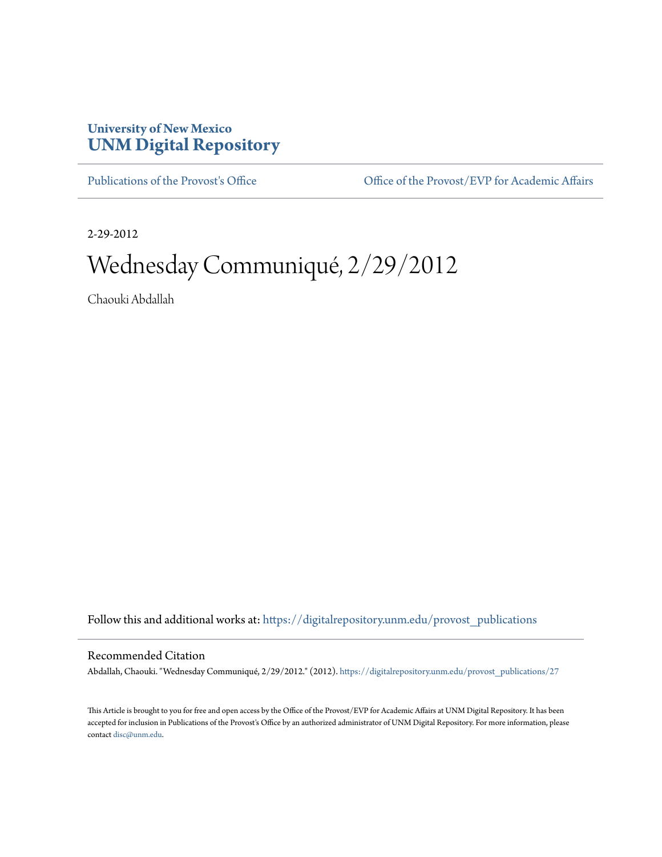# **University of New Mexico [UNM Digital Repository](https://digitalrepository.unm.edu?utm_source=digitalrepository.unm.edu%2Fprovost_publications%2F27&utm_medium=PDF&utm_campaign=PDFCoverPages)**

[Publications of the Provost's Office](https://digitalrepository.unm.edu/provost_publications?utm_source=digitalrepository.unm.edu%2Fprovost_publications%2F27&utm_medium=PDF&utm_campaign=PDFCoverPages) Office [Office of the Provost/EVP for Academic Affairs](https://digitalrepository.unm.edu/ofc_provost?utm_source=digitalrepository.unm.edu%2Fprovost_publications%2F27&utm_medium=PDF&utm_campaign=PDFCoverPages)

2-29-2012

# Wednesday Communiqué, 2/29/2012

Chaouki Abdallah

Follow this and additional works at: [https://digitalrepository.unm.edu/provost\\_publications](https://digitalrepository.unm.edu/provost_publications?utm_source=digitalrepository.unm.edu%2Fprovost_publications%2F27&utm_medium=PDF&utm_campaign=PDFCoverPages)

## Recommended Citation

Abdallah, Chaouki. "Wednesday Communiqué, 2/29/2012." (2012). [https://digitalrepository.unm.edu/provost\\_publications/27](https://digitalrepository.unm.edu/provost_publications/27?utm_source=digitalrepository.unm.edu%2Fprovost_publications%2F27&utm_medium=PDF&utm_campaign=PDFCoverPages)

This Article is brought to you for free and open access by the Office of the Provost/EVP for Academic Affairs at UNM Digital Repository. It has been accepted for inclusion in Publications of the Provost's Office by an authorized administrator of UNM Digital Repository. For more information, please contact [disc@unm.edu.](mailto:disc@unm.edu)